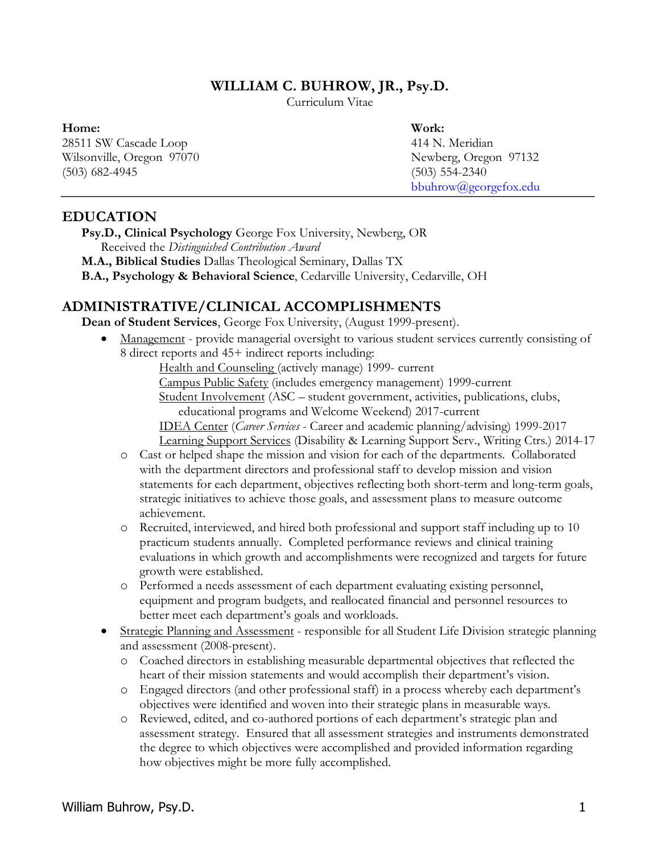# **WILLIAM C. BUHROW, JR., Psy.D.**

Curriculum Vitae

**Home: Work:**

28511 SW Cascade Loop 414 N. Meridian Wilsonville, Oregon 97070 Newberg, Oregon 97132 (503) 682-4945 (503) 554-2340

bbuhrow@georgefox.edu

# **EDUCATION**

**Psy.D., Clinical Psychology** George Fox University, Newberg, OR Received the *Distinguished Contribution Award* **M.A., Biblical Studies** Dallas Theological Seminary, Dallas TX **B.A., Psychology & Behavioral Science**, Cedarville University, Cedarville, OH

# **ADMINISTRATIVE/CLINICAL ACCOMPLISHMENTS**

**Dean of Student Services**, George Fox University, (August 1999-present).

Management - provide managerial oversight to various student services currently consisting of 8 direct reports and 45+ indirect reports including:

Health and Counseling (actively manage) 1999- current

Campus Public Safety (includes emergency management) 1999-current

Student Involvement (ASC – student government, activities, publications, clubs, educational programs and Welcome Weekend) 2017-current

IDEA Center (*Career Services* - Career and academic planning/advising) 1999-2017 Learning Support Services (Disability & Learning Support Serv., Writing Ctrs.) 2014-17

- o Cast or helped shape the mission and vision for each of the departments. Collaborated with the department directors and professional staff to develop mission and vision statements for each department, objectives reflecting both short-term and long-term goals, strategic initiatives to achieve those goals, and assessment plans to measure outcome achievement.
- o Recruited, interviewed, and hired both professional and support staff including up to 10 practicum students annually. Completed performance reviews and clinical training evaluations in which growth and accomplishments were recognized and targets for future growth were established.
- o Performed a needs assessment of each department evaluating existing personnel, equipment and program budgets, and reallocated financial and personnel resources to better meet each department's goals and workloads.
- Strategic Planning and Assessment responsible for all Student Life Division strategic planning and assessment (2008-present).
	- o Coached directors in establishing measurable departmental objectives that reflected the heart of their mission statements and would accomplish their department's vision.
	- o Engaged directors (and other professional staff) in a process whereby each department's objectives were identified and woven into their strategic plans in measurable ways.
	- o Reviewed, edited, and co-authored portions of each department's strategic plan and assessment strategy. Ensured that all assessment strategies and instruments demonstrated the degree to which objectives were accomplished and provided information regarding how objectives might be more fully accomplished.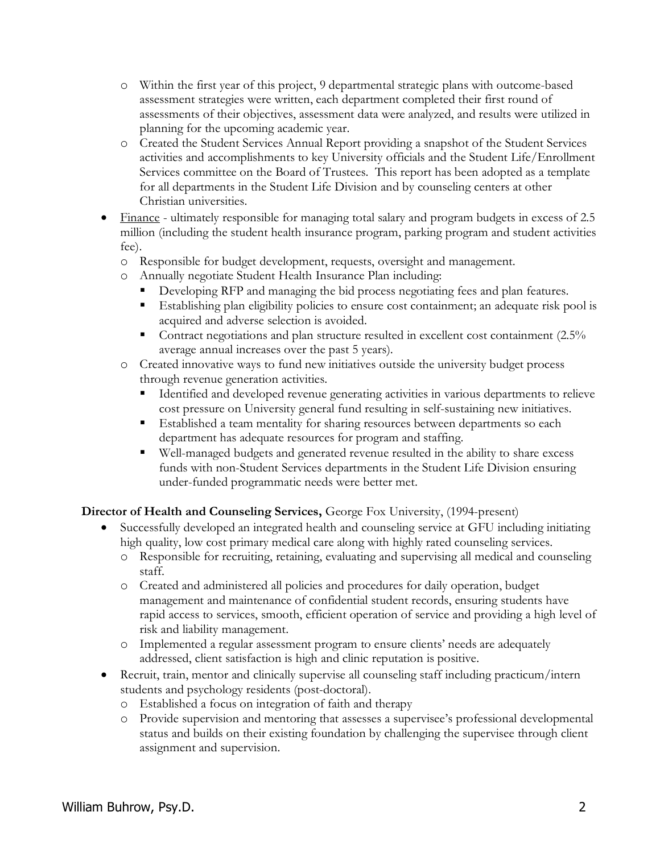- o Within the first year of this project, 9 departmental strategic plans with outcome-based assessment strategies were written, each department completed their first round of assessments of their objectives, assessment data were analyzed, and results were utilized in planning for the upcoming academic year.
- o Created the Student Services Annual Report providing a snapshot of the Student Services activities and accomplishments to key University officials and the Student Life/Enrollment Services committee on the Board of Trustees. This report has been adopted as a template for all departments in the Student Life Division and by counseling centers at other Christian universities.
- Finance ultimately responsible for managing total salary and program budgets in excess of 2.5 million (including the student health insurance program, parking program and student activities fee).
	- o Responsible for budget development, requests, oversight and management.
	- o Annually negotiate Student Health Insurance Plan including:
		- Developing RFP and managing the bid process negotiating fees and plan features.
		- Establishing plan eligibility policies to ensure cost containment; an adequate risk pool is acquired and adverse selection is avoided.
		- Contract negotiations and plan structure resulted in excellent cost containment (2.5% average annual increases over the past 5 years).
	- o Created innovative ways to fund new initiatives outside the university budget process through revenue generation activities.
		- Identified and developed revenue generating activities in various departments to relieve cost pressure on University general fund resulting in self-sustaining new initiatives.
		- Established a team mentality for sharing resources between departments so each department has adequate resources for program and staffing.
		- § Well-managed budgets and generated revenue resulted in the ability to share excess funds with non-Student Services departments in the Student Life Division ensuring under-funded programmatic needs were better met.

#### **Director of Health and Counseling Services,** George Fox University, (1994-present)

- Successfully developed an integrated health and counseling service at GFU including initiating high quality, low cost primary medical care along with highly rated counseling services.
	- o Responsible for recruiting, retaining, evaluating and supervising all medical and counseling staff.
	- o Created and administered all policies and procedures for daily operation, budget management and maintenance of confidential student records, ensuring students have rapid access to services, smooth, efficient operation of service and providing a high level of risk and liability management.
	- o Implemented a regular assessment program to ensure clients' needs are adequately addressed, client satisfaction is high and clinic reputation is positive.
- Recruit, train, mentor and clinically supervise all counseling staff including practicum/intern students and psychology residents (post-doctoral).
	- o Established a focus on integration of faith and therapy
	- o Provide supervision and mentoring that assesses a supervisee's professional developmental status and builds on their existing foundation by challenging the supervisee through client assignment and supervision.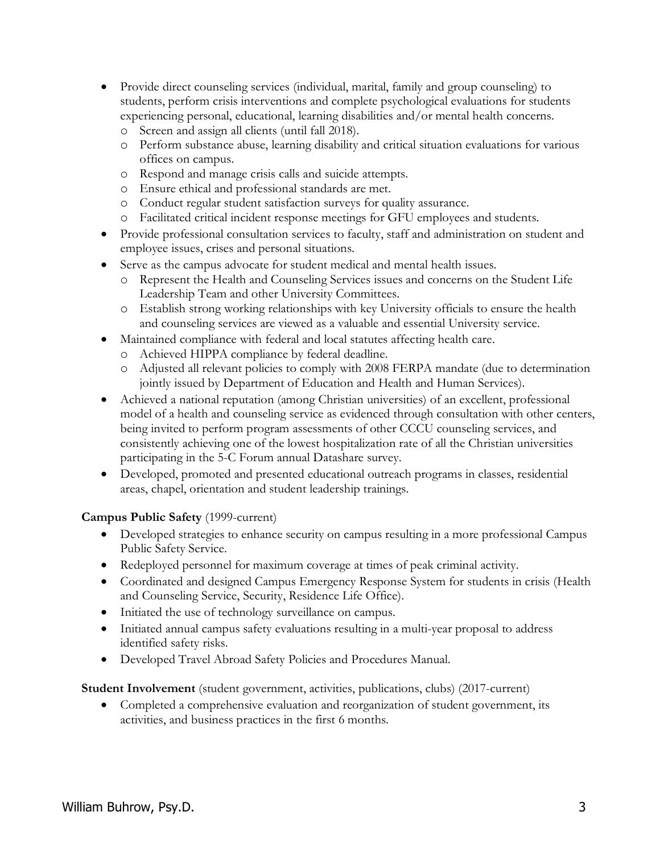- Provide direct counseling services (individual, marital, family and group counseling) to students, perform crisis interventions and complete psychological evaluations for students experiencing personal, educational, learning disabilities and/or mental health concerns.
	- o Screen and assign all clients (until fall 2018).
	- o Perform substance abuse, learning disability and critical situation evaluations for various offices on campus.
	- o Respond and manage crisis calls and suicide attempts.
	- o Ensure ethical and professional standards are met.
	- o Conduct regular student satisfaction surveys for quality assurance.
	- o Facilitated critical incident response meetings for GFU employees and students.
- Provide professional consultation services to faculty, staff and administration on student and employee issues, crises and personal situations.
- Serve as the campus advocate for student medical and mental health issues.
	- o Represent the Health and Counseling Services issues and concerns on the Student Life Leadership Team and other University Committees.
	- o Establish strong working relationships with key University officials to ensure the health and counseling services are viewed as a valuable and essential University service.
- Maintained compliance with federal and local statutes affecting health care.
	- o Achieved HIPPA compliance by federal deadline.
	- o Adjusted all relevant policies to comply with 2008 FERPA mandate (due to determination jointly issued by Department of Education and Health and Human Services).
- Achieved a national reputation (among Christian universities) of an excellent, professional model of a health and counseling service as evidenced through consultation with other centers, being invited to perform program assessments of other CCCU counseling services, and consistently achieving one of the lowest hospitalization rate of all the Christian universities participating in the 5-C Forum annual Datashare survey.
- Developed, promoted and presented educational outreach programs in classes, residential areas, chapel, orientation and student leadership trainings.

### **Campus Public Safety** (1999-current)

- Developed strategies to enhance security on campus resulting in a more professional Campus Public Safety Service.
- Redeployed personnel for maximum coverage at times of peak criminal activity.
- Coordinated and designed Campus Emergency Response System for students in crisis (Health and Counseling Service, Security, Residence Life Office).
- Initiated the use of technology surveillance on campus.
- Initiated annual campus safety evaluations resulting in a multi-year proposal to address identified safety risks.
- Developed Travel Abroad Safety Policies and Procedures Manual.

**Student Involvement** (student government, activities, publications, clubs) (2017-current)

• Completed a comprehensive evaluation and reorganization of student government, its activities, and business practices in the first 6 months.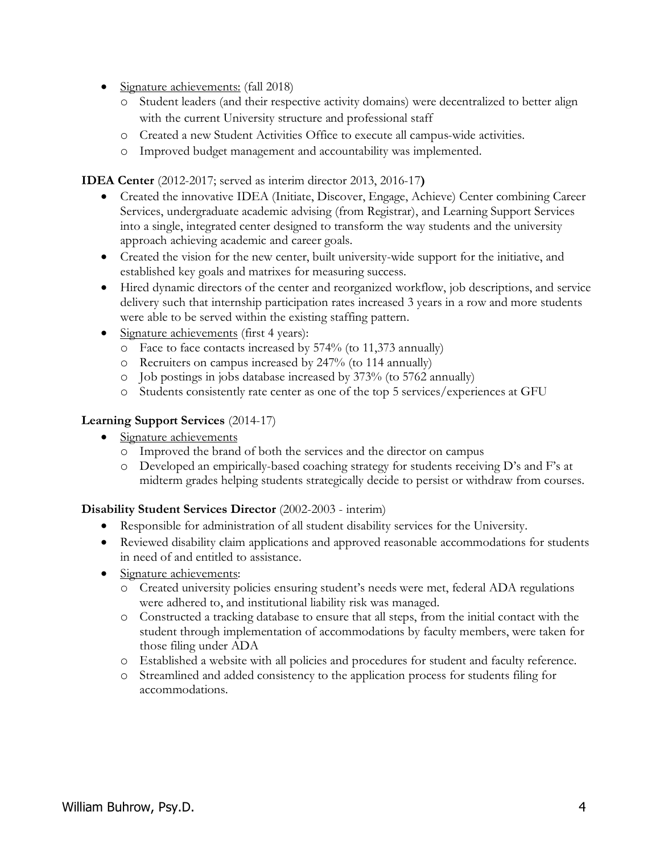- Signature achievements: (fall 2018)
	- o Student leaders (and their respective activity domains) were decentralized to better align with the current University structure and professional staff
	- o Created a new Student Activities Office to execute all campus-wide activities.
	- o Improved budget management and accountability was implemented.

**IDEA Center** (2012-2017; served as interim director 2013, 2016-17**)**

- Created the innovative IDEA (Initiate, Discover, Engage, Achieve) Center combining Career Services, undergraduate academic advising (from Registrar), and Learning Support Services into a single, integrated center designed to transform the way students and the university approach achieving academic and career goals.
- Created the vision for the new center, built university-wide support for the initiative, and established key goals and matrixes for measuring success.
- Hired dynamic directors of the center and reorganized workflow, job descriptions, and service delivery such that internship participation rates increased 3 years in a row and more students were able to be served within the existing staffing pattern.
- Signature achievements (first 4 years):
	- o Face to face contacts increased by 574% (to 11,373 annually)
	- o Recruiters on campus increased by 247% (to 114 annually)
	- o Job postings in jobs database increased by 373% (to 5762 annually)
	- o Students consistently rate center as one of the top 5 services/experiences at GFU

### **Learning Support Services** (2014-17)

- Signature achievements
	- o Improved the brand of both the services and the director on campus
	- o Developed an empirically-based coaching strategy for students receiving D's and F's at midterm grades helping students strategically decide to persist or withdraw from courses.

### **Disability Student Services Director** (2002-2003 - interim)

- Responsible for administration of all student disability services for the University.
- Reviewed disability claim applications and approved reasonable accommodations for students in need of and entitled to assistance.
- Signature achievements:
	- o Created university policies ensuring student's needs were met, federal ADA regulations were adhered to, and institutional liability risk was managed.
	- o Constructed a tracking database to ensure that all steps, from the initial contact with the student through implementation of accommodations by faculty members, were taken for those filing under ADA
	- o Established a website with all policies and procedures for student and faculty reference.
	- o Streamlined and added consistency to the application process for students filing for accommodations.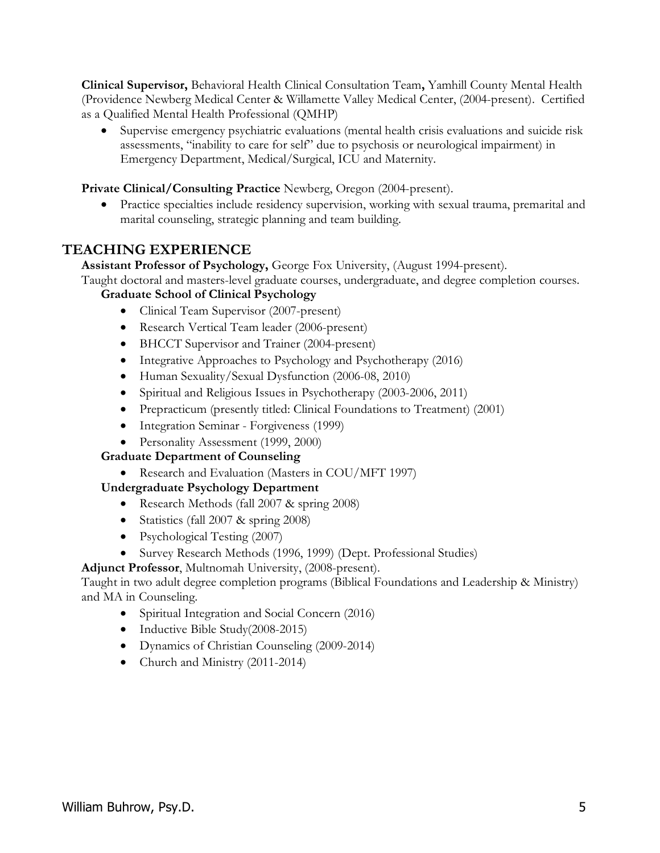**Clinical Supervisor,** Behavioral Health Clinical Consultation Team**,** Yamhill County Mental Health (Providence Newberg Medical Center & Willamette Valley Medical Center, (2004-present). Certified as a Qualified Mental Health Professional (QMHP)

• Supervise emergency psychiatric evaluations (mental health crisis evaluations and suicide risk assessments, "inability to care for self" due to psychosis or neurological impairment) in Emergency Department, Medical/Surgical, ICU and Maternity.

### **Private Clinical/Consulting Practice** Newberg, Oregon (2004-present).

• Practice specialties include residency supervision, working with sexual trauma, premarital and marital counseling, strategic planning and team building.

# **TEACHING EXPERIENCE**

**Assistant Professor of Psychology,** George Fox University, (August 1994-present).

Taught doctoral and masters-level graduate courses, undergraduate, and degree completion courses. **Graduate School of Clinical Psychology**

- Clinical Team Supervisor (2007-present)
- Research Vertical Team leader (2006-present)
- BHCCT Supervisor and Trainer (2004-present)
- Integrative Approaches to Psychology and Psychotherapy (2016)
- Human Sexuality/Sexual Dysfunction (2006-08, 2010)
- Spiritual and Religious Issues in Psychotherapy (2003-2006, 2011)
- Prepracticum (presently titled: Clinical Foundations to Treatment) (2001)
- Integration Seminar Forgiveness (1999)
- Personality Assessment (1999, 2000)

# **Graduate Department of Counseling**

• Research and Evaluation (Masters in COU/MFT 1997)

# **Undergraduate Psychology Department**

- Research Methods (fall 2007 & spring 2008)
- Statistics (fall 2007 & spring 2008)
- Psychological Testing (2007)
- Survey Research Methods (1996, 1999) (Dept. Professional Studies)

**Adjunct Professor**, Multnomah University, (2008-present).

Taught in two adult degree completion programs (Biblical Foundations and Leadership & Ministry) and MA in Counseling.

- Spiritual Integration and Social Concern (2016)
- Inductive Bible Study(2008-2015)
- Dynamics of Christian Counseling (2009-2014)
- Church and Ministry (2011-2014)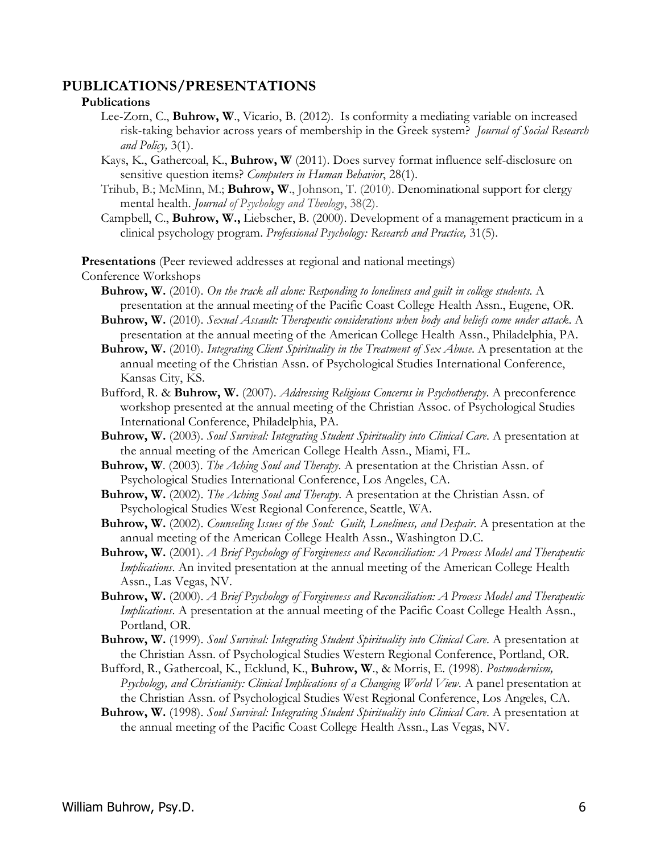#### **PUBLICATIONS/PRESENTATIONS**

#### **Publications**

- Lee-Zorn, C., **Buhrow, W**., Vicario, B. (2012). Is conformity a mediating variable on increased risk-taking behavior across years of membership in the Greek system? *Journal of Social Research and Policy,* 3(1).
- Kays, K., Gathercoal, K., **Buhrow, W** (2011). Does survey format influence self-disclosure on sensitive question items? *Computers in Human Behavior*, 28(1).
- Trihub, B.; McMinn, M.; **Buhrow, W**., Johnson, T. (2010). Denominational support for clergy mental health. *Journal of Psychology and Theology*, 38(2).
- Campbell, C., **Buhrow, W.,** Liebscher, B. (2000). Development of a management practicum in a clinical psychology program. *Professional Psychology: Research and Practice,* 31(5).

**Presentations** (Peer reviewed addresses at regional and national meetings)

Conference Workshops

- **Buhrow, W.** (2010). *On the track all alone: Responding to loneliness and guilt in college students.* A presentation at the annual meeting of the Pacific Coast College Health Assn., Eugene, OR.
- **Buhrow, W.** (2010). *Sexual Assault: Therapeutic considerations when body and beliefs come under attack*. A presentation at the annual meeting of the American College Health Assn., Philadelphia, PA.
- **Buhrow, W.** (2010). *Integrating Client Spirituality in the Treatment of Sex Abuse*. A presentation at the annual meeting of the Christian Assn. of Psychological Studies International Conference, Kansas City, KS.
- Bufford, R. & **Buhrow, W.** (2007). *Addressing Religious Concerns in Psychotherapy*. A preconference workshop presented at the annual meeting of the Christian Assoc. of Psychological Studies International Conference, Philadelphia, PA.
- **Buhrow, W.** (2003). *Soul Survival: Integrating Student Spirituality into Clinical Care*. A presentation at the annual meeting of the American College Health Assn., Miami, FL.
- **Buhrow, W**. (2003). *The Aching Soul and Therapy*. A presentation at the Christian Assn. of Psychological Studies International Conference, Los Angeles, CA.
- **Buhrow, W.** (2002). *The Aching Soul and Therapy*. A presentation at the Christian Assn. of Psychological Studies West Regional Conference, Seattle, WA.
- **Buhrow, W.** (2002). *Counseling Issues of the Soul: Guilt, Loneliness, and Despair*. A presentation at the annual meeting of the American College Health Assn., Washington D.C.
- **Buhrow, W.** (2001). *A Brief Psychology of Forgiveness and Reconciliation: A Process Model and Therapeutic Implications*. An invited presentation at the annual meeting of the American College Health Assn., Las Vegas, NV.
- **Buhrow, W.** (2000). *A Brief Psychology of Forgiveness and Reconciliation: A Process Model and Therapeutic Implications*. A presentation at the annual meeting of the Pacific Coast College Health Assn., Portland, OR.
- **Buhrow, W.** (1999). *Soul Survival: Integrating Student Spirituality into Clinical Care*. A presentation at the Christian Assn. of Psychological Studies Western Regional Conference, Portland, OR.
- Bufford, R., Gathercoal, K., Ecklund, K., **Buhrow, W**., & Morris, E. (1998). *Postmodernism, Psychology, and Christianity: Clinical Implications of a Changing World View*. A panel presentation at the Christian Assn. of Psychological Studies West Regional Conference, Los Angeles, CA.
- **Buhrow, W.** (1998). *Soul Survival: Integrating Student Spirituality into Clinical Care*. A presentation at the annual meeting of the Pacific Coast College Health Assn., Las Vegas, NV.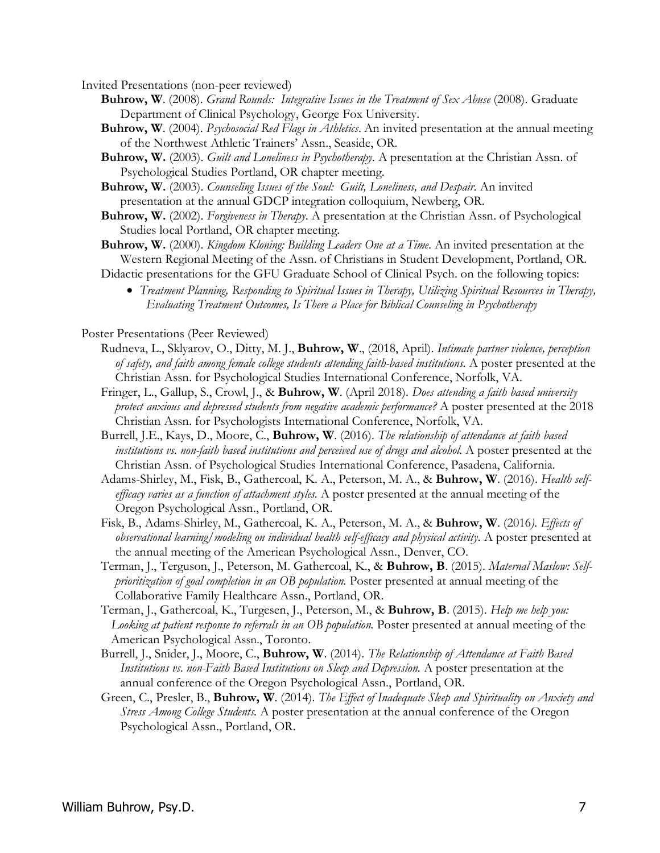Invited Presentations (non-peer reviewed)

- **Buhrow, W**. (2008). *Grand Rounds: Integrative Issues in the Treatment of Sex Abuse* (2008). Graduate Department of Clinical Psychology, George Fox University.
- **Buhrow, W**. (2004). *Psychosocial Red Flags in Athletics*. An invited presentation at the annual meeting of the Northwest Athletic Trainers' Assn., Seaside, OR.
- **Buhrow, W.** (2003). *Guilt and Loneliness in Psychotherapy*. A presentation at the Christian Assn. of Psychological Studies Portland, OR chapter meeting.
- **Buhrow, W.** (2003). *Counseling Issues of the Soul: Guilt, Loneliness, and Despair*. An invited presentation at the annual GDCP integration colloquium, Newberg, OR.
- **Buhrow, W.** (2002). *Forgiveness in Therapy*. A presentation at the Christian Assn. of Psychological Studies local Portland, OR chapter meeting.
- **Buhrow, W.** (2000). *Kingdom Kloning: Building Leaders One at a Time*. An invited presentation at the Western Regional Meeting of the Assn. of Christians in Student Development, Portland, OR.
- Didactic presentations for the GFU Graduate School of Clinical Psych. on the following topics:
	- *Treatment Planning, Responding to Spiritual Issues in Therapy, Utilizing Spiritual Resources in Therapy, Evaluating Treatment Outcomes, Is There a Place for Biblical Counseling in Psychotherapy*
- Poster Presentations (Peer Reviewed)
	- Rudneva, L., Sklyarov, O., Ditty, M. J., **Buhrow, W**., (2018, April). *Intimate partner violence, perception of safety, and faith among female college students attending faith-based institutions.* A poster presented at the Christian Assn. for Psychological Studies International Conference, Norfolk, VA.
	- Fringer, L., Gallup, S., Crowl, J., & **Buhrow, W**. (April 2018). *Does attending a faith based university protect anxious and depressed students from negative academic performance?* A poster presented at the 2018 Christian Assn. for Psychologists International Conference, Norfolk, VA.
	- Burrell, J.E., Kays, D., Moore, C., **Buhrow, W**. (2016). *The relationship of attendance at faith based institutions vs. non-faith based institutions and perceived use of drugs and alcohol.* A poster presented at the Christian Assn. of Psychological Studies International Conference, Pasadena, California.
	- Adams-Shirley, M., Fisk, B., Gathercoal, K. A., Peterson, M. A., & **Buhrow, W**. (2016). *Health selfefficacy varies as a function of attachment styles.* A poster presented at the annual meeting of the Oregon Psychological Assn., Portland, OR.
	- Fisk, B., Adams-Shirley, M., Gathercoal, K. A., Peterson, M. A., & **Buhrow, W**. (2016*). Effects of observational learning/modeling on individual health self-efficacy and physical activity.* A poster presented at the annual meeting of the American Psychological Assn., Denver, CO.
	- Terman, J., Terguson, J., Peterson, M. Gathercoal, K., & **Buhrow, B**. (2015). *Maternal Maslow: Selfprioritization of goal completion in an OB population.* Poster presented at annual meeting of the Collaborative Family Healthcare Assn., Portland, OR.
	- Terman, J., Gathercoal, K., Turgesen, J., Peterson, M., & **Buhrow, B**. (2015). *Help me help you: Looking at patient response to referrals in an OB population.* Poster presented at annual meeting of the American Psychological Assn., Toronto.
	- Burrell, J., Snider, J., Moore, C., **Buhrow, W**. (2014). *The Relationship of Attendance at Faith Based Institutions vs. non-Faith Based Institutions on Sleep and Depression.* A poster presentation at the annual conference of the Oregon Psychological Assn., Portland, OR.
	- Green, C., Presler, B., **Buhrow, W**. (2014). *The Effect of Inadequate Sleep and Spirituality on Anxiety and Stress Among College Students.* A poster presentation at the annual conference of the Oregon Psychological Assn., Portland, OR.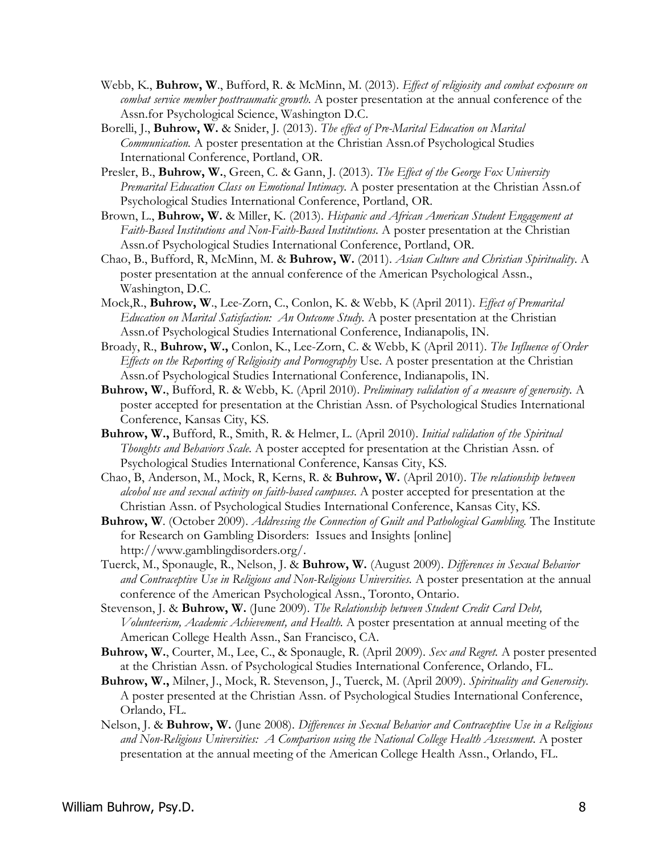- Webb, K., **Buhrow, W**., Bufford, R. & McMinn, M. (2013). *Effect of religiosity and combat exposure on combat service member posttraumatic growth.* A poster presentation at the annual conference of the Assn.for Psychological Science, Washington D.C.
- Borelli, J., **Buhrow, W.** & Snider, J. (2013). *The effect of Pre-Marital Education on Marital Communication.* A poster presentation at the Christian Assn.of Psychological Studies International Conference, Portland, OR.
- Presler, B., **Buhrow, W.**, Green, C. & Gann, J. (2013). *The Effect of the George Fox University Premarital Education Class on Emotional Intimacy.* A poster presentation at the Christian Assn.of Psychological Studies International Conference, Portland, OR.
- Brown, L., **Buhrow, W.** & Miller, K. (2013). *Hispanic and African American Student Engagement at Faith-Based Institutions and Non-Faith-Based Institutions.* A poster presentation at the Christian Assn.of Psychological Studies International Conference, Portland, OR.
- Chao, B., Bufford, R, McMinn, M. & **Buhrow, W.** (2011). *Asian Culture and Christian Spirituality*. A poster presentation at the annual conference of the American Psychological Assn., Washington, D.C.
- Mock,R., **Buhrow, W**., Lee-Zorn, C., Conlon, K. & Webb, K (April 2011). *Effect of Premarital Education on Marital Satisfaction: An Outcome Study.* A poster presentation at the Christian Assn.of Psychological Studies International Conference, Indianapolis, IN.
- Broady, R., **Buhrow, W.,** Conlon, K., Lee-Zorn, C. & Webb, K (April 2011). *The Influence of Order Effects on the Reporting of Religiosity and Pornography* Use. A poster presentation at the Christian Assn.of Psychological Studies International Conference, Indianapolis, IN.
- **Buhrow, W.**, Bufford, R. & Webb, K. (April 2010). *Preliminary validation of a measure of generosity.* A poster accepted for presentation at the Christian Assn. of Psychological Studies International Conference, Kansas City, KS.
- **Buhrow, W.,** Bufford, R., Smith, R. & Helmer, L. (April 2010). *Initial validation of the Spiritual Thoughts and Behaviors Scale.* A poster accepted for presentation at the Christian Assn. of Psychological Studies International Conference, Kansas City, KS.
- Chao, B, Anderson, M., Mock, R, Kerns, R. & **Buhrow, W.** (April 2010). *The relationship between alcohol use and sexual activity on faith-based campuses.* A poster accepted for presentation at the Christian Assn. of Psychological Studies International Conference, Kansas City, KS.
- **Buhrow, W**. (October 2009). *Addressing the Connection of Guilt and Pathological Gambling.* The Institute for Research on Gambling Disorders: Issues and Insights [online] http://www.gamblingdisorders.org/.
- Tuerck, M., Sponaugle, R., Nelson, J. & **Buhrow, W.** (August 2009). *Differences in Sexual Behavior and Contraceptive Use in Religious and Non-Religious Universities.* A poster presentation at the annual conference of the American Psychological Assn., Toronto, Ontario.
- Stevenson, J. & **Buhrow, W.** (June 2009). *The Relationship between Student Credit Card Debt, Volunteerism, Academic Achievement, and Health.* A poster presentation at annual meeting of the American College Health Assn., San Francisco, CA.
- **Buhrow, W.**, Courter, M., Lee, C., & Sponaugle, R. (April 2009). *Sex and Regret.* A poster presented at the Christian Assn. of Psychological Studies International Conference, Orlando, FL.
- **Buhrow, W.,** Milner, J., Mock, R. Stevenson, J., Tuerck, M. (April 2009). *Spirituality and Generosity.* A poster presented at the Christian Assn. of Psychological Studies International Conference, Orlando, FL.
- Nelson, J. & **Buhrow, W.** (June 2008). *Differences in Sexual Behavior and Contraceptive Use in a Religious and Non-Religious Universities: A Comparison using the National College Health Assessment.* A poster presentation at the annual meeting of the American College Health Assn., Orlando, FL.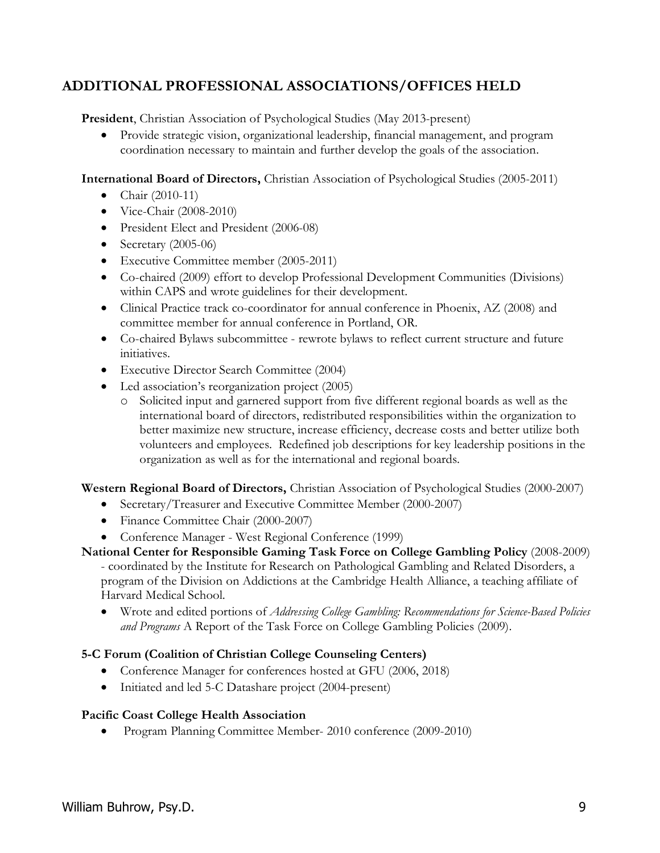# **ADDITIONAL PROFESSIONAL ASSOCIATIONS/OFFICES HELD**

**President**, Christian Association of Psychological Studies (May 2013-present)

• Provide strategic vision, organizational leadership, financial management, and program coordination necessary to maintain and further develop the goals of the association.

**International Board of Directors,** Christian Association of Psychological Studies (2005-2011)

- Chair (2010-11)
- Vice-Chair (2008-2010)
- President Elect and President (2006-08)
- Secretary  $(2005-06)$
- Executive Committee member (2005-2011)
- Co-chaired (2009) effort to develop Professional Development Communities (Divisions) within CAPS and wrote guidelines for their development.
- Clinical Practice track co-coordinator for annual conference in Phoenix, AZ (2008) and committee member for annual conference in Portland, OR.
- Co-chaired Bylaws subcommittee rewrote bylaws to reflect current structure and future initiatives.
- Executive Director Search Committee (2004)
- Led association's reorganization project (2005)
	- o Solicited input and garnered support from five different regional boards as well as the international board of directors, redistributed responsibilities within the organization to better maximize new structure, increase efficiency, decrease costs and better utilize both volunteers and employees. Redefined job descriptions for key leadership positions in the organization as well as for the international and regional boards.

### **Western Regional Board of Directors,** Christian Association of Psychological Studies (2000-2007)

- Secretary/Treasurer and Executive Committee Member (2000-2007)
- Finance Committee Chair (2000-2007)
- Conference Manager West Regional Conference (1999)

**National Center for Responsible Gaming Task Force on College Gambling Policy** (2008-2009)

- coordinated by the Institute for Research on Pathological Gambling and Related Disorders, a program of the Division on Addictions at the Cambridge Health Alliance, a teaching affiliate of Harvard Medical School.

• Wrote and edited portions of *Addressing College Gambling: Recommendations for Science-Based Policies and Programs* A Report of the Task Force on College Gambling Policies (2009).

### **5-C Forum (Coalition of Christian College Counseling Centers)**

- Conference Manager for conferences hosted at GFU (2006, 2018)
- Initiated and led 5-C Datashare project (2004-present)

### **Pacific Coast College Health Association**

• Program Planning Committee Member- 2010 conference (2009-2010)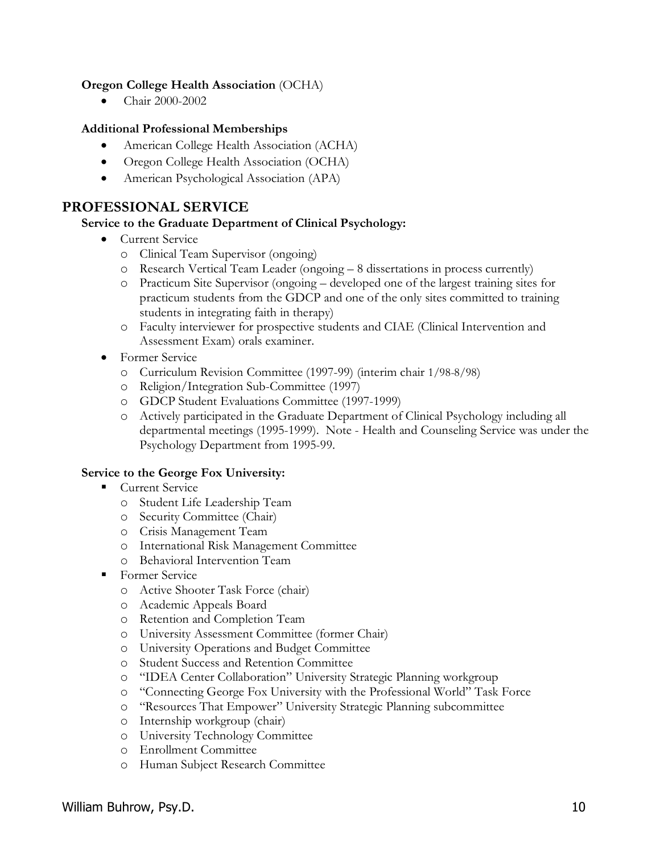### **Oregon College Health Association** (OCHA)

• Chair 2000-2002

#### **Additional Professional Memberships**

- American College Health Association (ACHA)
- Oregon College Health Association (OCHA)
- American Psychological Association (APA)

### **PROFESSIONAL SERVICE**

#### **Service to the Graduate Department of Clinical Psychology:**

- Current Service
	- o Clinical Team Supervisor (ongoing)
	- o Research Vertical Team Leader (ongoing 8 dissertations in process currently)
	- o Practicum Site Supervisor (ongoing developed one of the largest training sites for practicum students from the GDCP and one of the only sites committed to training students in integrating faith in therapy)
	- o Faculty interviewer for prospective students and CIAE (Clinical Intervention and Assessment Exam) orals examiner.
- Former Service
	- o Curriculum Revision Committee (1997-99) (interim chair 1/98-8/98)
	- o Religion/Integration Sub-Committee (1997)
	- o GDCP Student Evaluations Committee (1997-1999)
	- o Actively participated in the Graduate Department of Clinical Psychology including all departmental meetings (1995-1999). Note - Health and Counseling Service was under the Psychology Department from 1995-99.

#### **Service to the George Fox University:**

- § Current Service
	- o Student Life Leadership Team
	- o Security Committee (Chair)
	- o Crisis Management Team
	- o International Risk Management Committee
	- o Behavioral Intervention Team
- Former Service
	- o Active Shooter Task Force (chair)
	- o Academic Appeals Board
	- o Retention and Completion Team
	- o University Assessment Committee (former Chair)
	- o University Operations and Budget Committee
	- o Student Success and Retention Committee
	- o "IDEA Center Collaboration" University Strategic Planning workgroup
	- o "Connecting George Fox University with the Professional World" Task Force
	- o "Resources That Empower" University Strategic Planning subcommittee
	- o Internship workgroup (chair)
	- o University Technology Committee
	- o Enrollment Committee
	- o Human Subject Research Committee

William Buhrow, Psy.D. 10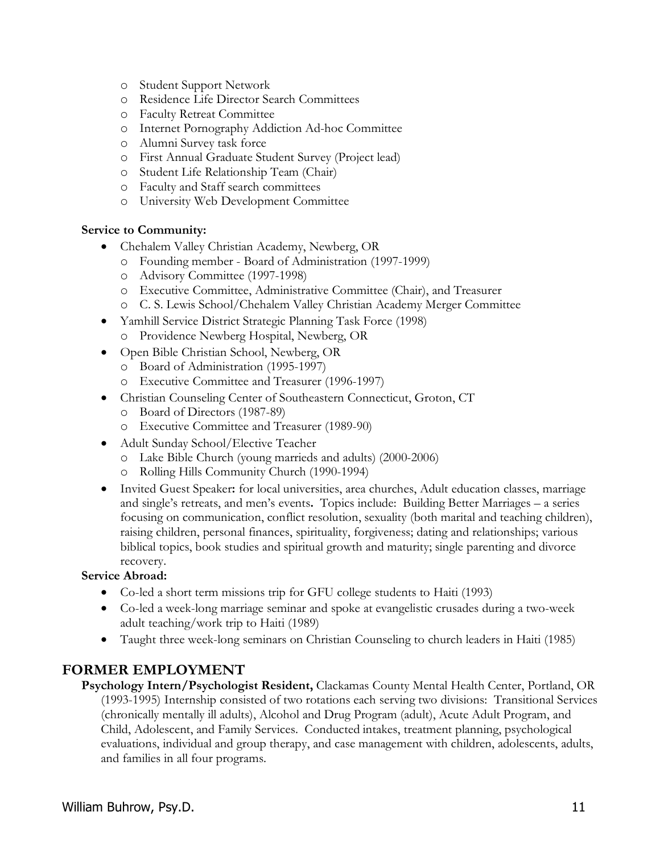- o Student Support Network
- o Residence Life Director Search Committees
- o Faculty Retreat Committee
- o Internet Pornography Addiction Ad-hoc Committee
- o Alumni Survey task force
- o First Annual Graduate Student Survey (Project lead)
- o Student Life Relationship Team (Chair)
- o Faculty and Staff search committees
- o University Web Development Committee

### **Service to Community:**

- Chehalem Valley Christian Academy, Newberg, OR
	- o Founding member Board of Administration (1997-1999)
	- o Advisory Committee (1997-1998)
	- o Executive Committee, Administrative Committee (Chair), and Treasurer
	- o C. S. Lewis School/Chehalem Valley Christian Academy Merger Committee
- Yamhill Service District Strategic Planning Task Force (1998) o Providence Newberg Hospital, Newberg, OR
- Open Bible Christian School, Newberg, OR
	- o Board of Administration (1995-1997)
		- o Executive Committee and Treasurer (1996-1997)
- Christian Counseling Center of Southeastern Connecticut, Groton, CT
	- o Board of Directors (1987-89)
	- o Executive Committee and Treasurer (1989-90)
- Adult Sunday School/Elective Teacher
	- o Lake Bible Church (young marrieds and adults) (2000-2006)
	- o Rolling Hills Community Church (1990-1994)
- Invited Guest Speaker**:** for local universities, area churches, Adult education classes, marriage and single's retreats, and men's events**.** Topics include: Building Better Marriages – a series focusing on communication, conflict resolution, sexuality (both marital and teaching children), raising children, personal finances, spirituality, forgiveness; dating and relationships; various biblical topics, book studies and spiritual growth and maturity; single parenting and divorce recovery.

#### **Service Abroad:**

- Co-led a short term missions trip for GFU college students to Haiti (1993)
- Co-led a week-long marriage seminar and spoke at evangelistic crusades during a two-week adult teaching/work trip to Haiti (1989)
- Taught three week-long seminars on Christian Counseling to church leaders in Haiti (1985)

# **FORMER EMPLOYMENT**

**Psychology Intern/Psychologist Resident,** Clackamas County Mental Health Center, Portland, OR (1993-1995) Internship consisted of two rotations each serving two divisions: Transitional Services (chronically mentally ill adults), Alcohol and Drug Program (adult), Acute Adult Program, and Child, Adolescent, and Family Services. Conducted intakes, treatment planning, psychological evaluations, individual and group therapy, and case management with children, adolescents, adults, and families in all four programs.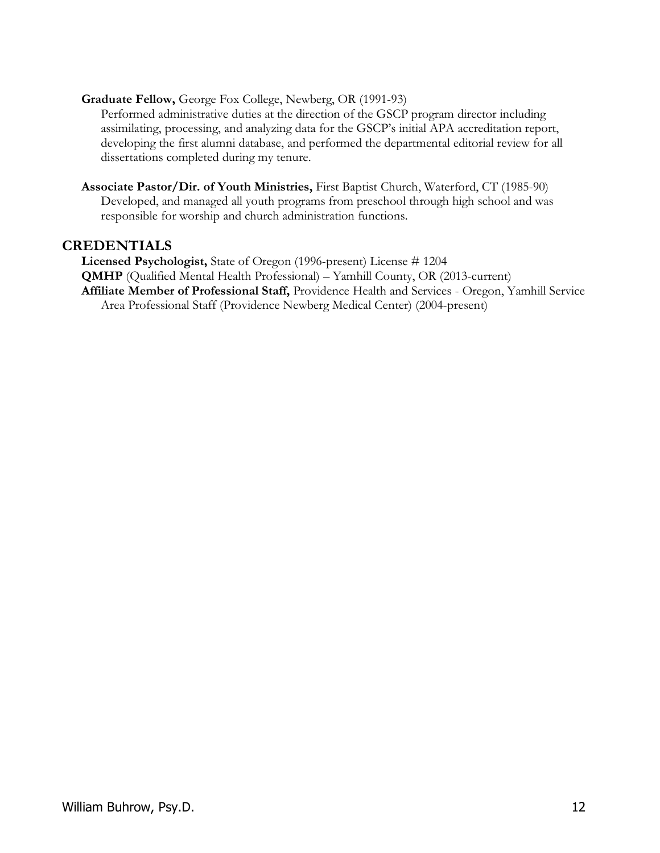**Graduate Fellow,** George Fox College, Newberg, OR (1991-93)

Performed administrative duties at the direction of the GSCP program director including assimilating, processing, and analyzing data for the GSCP's initial APA accreditation report, developing the first alumni database, and performed the departmental editorial review for all dissertations completed during my tenure.

**Associate Pastor/Dir. of Youth Ministries,** First Baptist Church, Waterford, CT (1985-90) Developed, and managed all youth programs from preschool through high school and was responsible for worship and church administration functions.

### **CREDENTIALS**

**Licensed Psychologist,** State of Oregon (1996-present) License # 1204 **QMHP** (Qualified Mental Health Professional) – Yamhill County, OR (2013-current) **Affiliate Member of Professional Staff,** Providence Health and Services - Oregon, Yamhill Service Area Professional Staff (Providence Newberg Medical Center) (2004-present)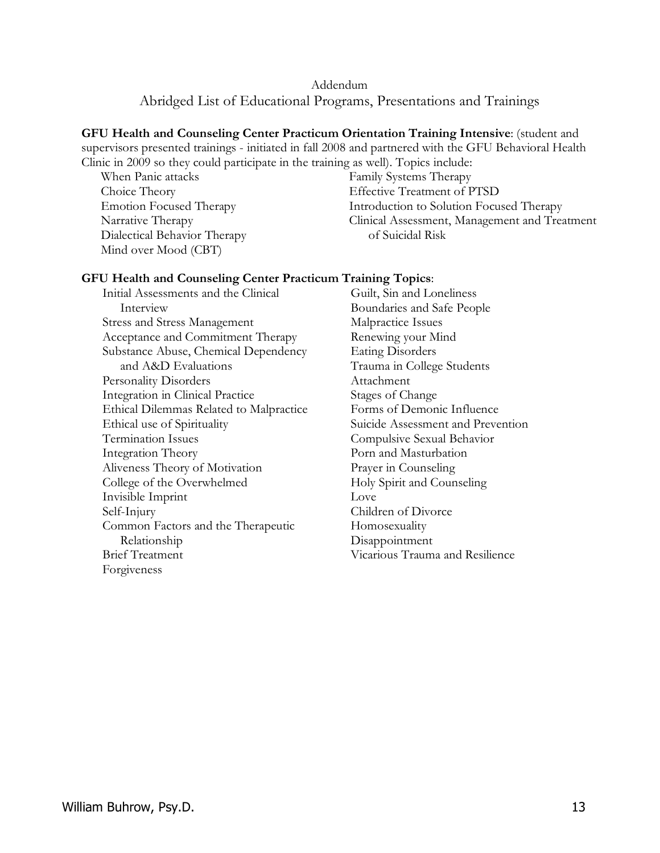#### Addendum Abridged List of Educational Programs, Presentations and Trainings

**GFU Health and Counseling Center Practicum Orientation Training Intensive**: (student and supervisors presented trainings - initiated in fall 2008 and partnered with the GFU Behavioral Health Clinic in 2009 so they could participate in the training as well). Topics include:

When Panic attacks Choice Theory Emotion Focused Therapy Narrative Therapy Dialectical Behavior Therapy Mind over Mood (CBT)

Family Systems Therapy Effective Treatment of PTSD Introduction to Solution Focused Therapy Clinical Assessment, Management and Treatment of Suicidal Risk

#### **GFU Health and Counseling Center Practicum Training Topics**:

Initial Assessments and the Clinical Interview Stress and Stress Management Acceptance and Commitment Therapy Substance Abuse, Chemical Dependency and A&D Evaluations Personality Disorders Integration in Clinical Practice Ethical Dilemmas Related to Malpractice Ethical use of Spirituality Termination Issues Integration Theory Aliveness Theory of Motivation College of the Overwhelmed Invisible Imprint Self-Injury Common Factors and the Therapeutic Relationship Brief Treatment Forgiveness

Guilt, Sin and Loneliness Boundaries and Safe People Malpractice Issues Renewing your Mind Eating Disorders Trauma in College Students Attachment Stages of Change Forms of Demonic Influence Suicide Assessment and Prevention Compulsive Sexual Behavior Porn and Masturbation Prayer in Counseling Holy Spirit and Counseling Love Children of Divorce Homosexuality Disappointment Vicarious Trauma and Resilience